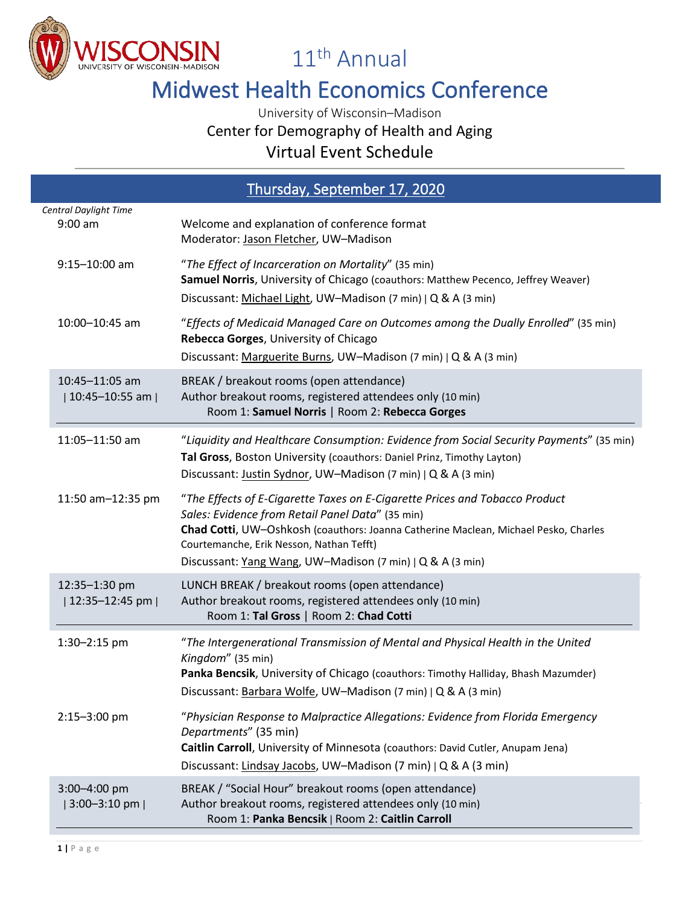

11th Annual

## Midwest Health Economics Conference

Center for Demography of Health and Aging

Virtual Event Schedule

| Thursday, September 17, 2020        |                                                                                                                                                                                                                                                                                                                                 |  |
|-------------------------------------|---------------------------------------------------------------------------------------------------------------------------------------------------------------------------------------------------------------------------------------------------------------------------------------------------------------------------------|--|
| Central Daylight Time               |                                                                                                                                                                                                                                                                                                                                 |  |
| $9:00$ am                           | Welcome and explanation of conference format<br>Moderator: Jason Fletcher, UW-Madison                                                                                                                                                                                                                                           |  |
| $9:15 - 10:00$ am                   | "The Effect of Incarceration on Mortality" (35 min)<br>Samuel Norris, University of Chicago (coauthors: Matthew Pecenco, Jeffrey Weaver)<br>Discussant: Michael Light, UW-Madison (7 min)   Q & A (3 min)                                                                                                                       |  |
| 10:00-10:45 am                      | "Effects of Medicaid Managed Care on Outcomes among the Dually Enrolled" (35 min)<br>Rebecca Gorges, University of Chicago<br>Discussant: Marguerite Burns, UW-Madison (7 min)   Q & A (3 min)                                                                                                                                  |  |
| 10:45-11:05 am<br>  10:45-10:55 am  | BREAK / breakout rooms (open attendance)<br>Author breakout rooms, registered attendees only (10 min)<br>Room 1: Samuel Norris   Room 2: Rebecca Gorges                                                                                                                                                                         |  |
| 11:05-11:50 am                      | "Liquidity and Healthcare Consumption: Evidence from Social Security Payments" (35 min)<br>Tal Gross, Boston University (coauthors: Daniel Prinz, Timothy Layton)<br>Discussant: Justin Sydnor, UW-Madison (7 min)   Q & A (3 min)                                                                                              |  |
| 11:50 am-12:35 pm                   | "The Effects of E-Cigarette Taxes on E-Cigarette Prices and Tobacco Product<br>Sales: Evidence from Retail Panel Data" (35 min)<br>Chad Cotti, UW-Oshkosh (coauthors: Joanna Catherine Maclean, Michael Pesko, Charles<br>Courtemanche, Erik Nesson, Nathan Tefft)<br>Discussant: Yang Wang, UW-Madison (7 min)   Q & A (3 min) |  |
| 12:35-1:30 pm<br>  12:35-12:45 pm   | LUNCH BREAK / breakout rooms (open attendance)<br>Author breakout rooms, registered attendees only (10 min)<br>Room 1: Tal Gross   Room 2: Chad Cotti                                                                                                                                                                           |  |
| 1:30-2:15 pm                        | "The Intergenerational Transmission of Mental and Physical Health in the United<br>Kingdom" (35 min)<br>Panka Bencsik, University of Chicago (coauthors: Timothy Halliday, Bhash Mazumder)<br>Discussant: Barbara Wolfe, UW-Madison (7 min)   Q & A (3 min)                                                                     |  |
| 2:15-3:00 pm                        | "Physician Response to Malpractice Allegations: Evidence from Florida Emergency<br>Departments" (35 min)<br>Caitlin Carroll, University of Minnesota (coauthors: David Cutler, Anupam Jena)<br>Discussant: Lindsay Jacobs, UW-Madison (7 min)   Q & A (3 min)                                                                   |  |
| 3:00-4:00 pm<br>$ 3:00-3:10$ pm $ $ | BREAK / "Social Hour" breakout rooms (open attendance)<br>Author breakout rooms, registered attendees only (10 min)<br>Room 1: Panka Bencsik   Room 2: Caitlin Carroll                                                                                                                                                          |  |